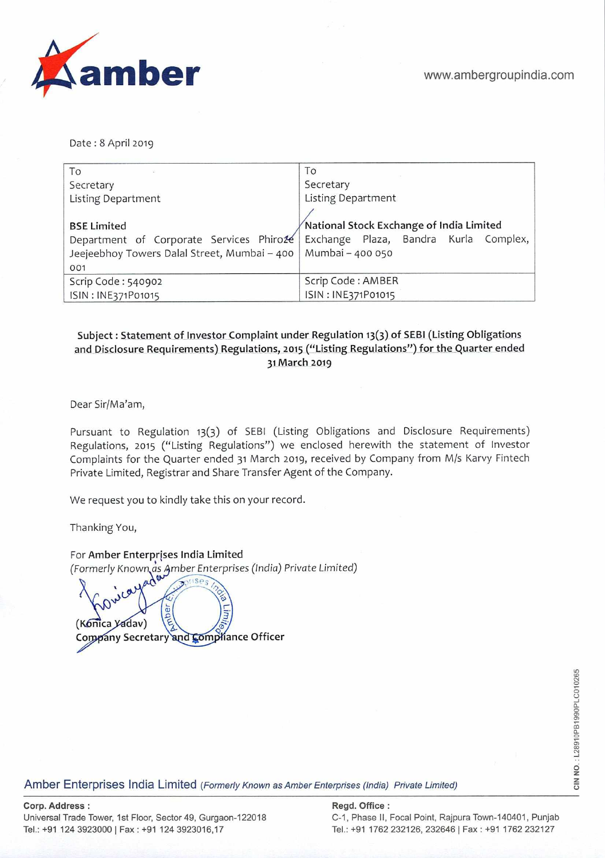

Date : 8 April 2019

| To                                           | To                                                                             |  |  |  |
|----------------------------------------------|--------------------------------------------------------------------------------|--|--|--|
| Secretary                                    | Secretary                                                                      |  |  |  |
| Listing Department                           | <b>Listing Department</b>                                                      |  |  |  |
|                                              |                                                                                |  |  |  |
| <b>BSE Limited</b>                           | National Stock Exchange of India Limited                                       |  |  |  |
|                                              | Department of Corporate Services Phirože Exchange Plaza, Bandra Kurla Complex, |  |  |  |
| Jeejeebhoy Towers Dalal Street, Mumbai - 400 | Mumbai - 400 050                                                               |  |  |  |
| 001                                          |                                                                                |  |  |  |
| Scrip Code: 540902                           | Scrip Code: AMBER                                                              |  |  |  |
| ISIN: INE371P01015                           | ISIN: INE371P01015                                                             |  |  |  |

# **Subject: Statement of Investor Complaint under Regulation 13(3) of SEBI (Listing Obligations and Disclosure Requirements) Regulations, 2015 ("Listing Regulations") for the Quarter ended 31 March 2019**

Dear Sir/Ma'am,

Pursuant to Regulation 13(3) of SEBI (Listing Obligations and Disclosure Requirements) Regulations, 2015 ("Listing Regulations") we enclosed herewith the statement of Investor Complaints for the Quarter ended 31 March 2019, received by Company from M/s Karvy Fintech Private Limited, Registrar and Share Transfer Agent of the Company.

We request you to kindly take this on your record.

Thanking You,

For Amber Enterprises India Limited (Formerly Known as mber Enterprises *(India)* Private *Limited)* 

LIM ober (Konica *Yadav*) **Company Secretary and Compliance Officer** 

Amber Enterprises India Limited (Formerly Known as Amber Enterprises (India) Private Limited)

# **Corp. Address: Regd. Office:**

Universal Trade Tower, 1st Floor, Sector 49, Gurgaon-122018 C-1, Phase II, Focal Point, Rajpura Town-140401, Punjab

Tel.: +91 124 3923000 Fax : +91 124 3923016,17 Tel.: +91 1762 232126, 232646 I Fax: +91 1762 232127